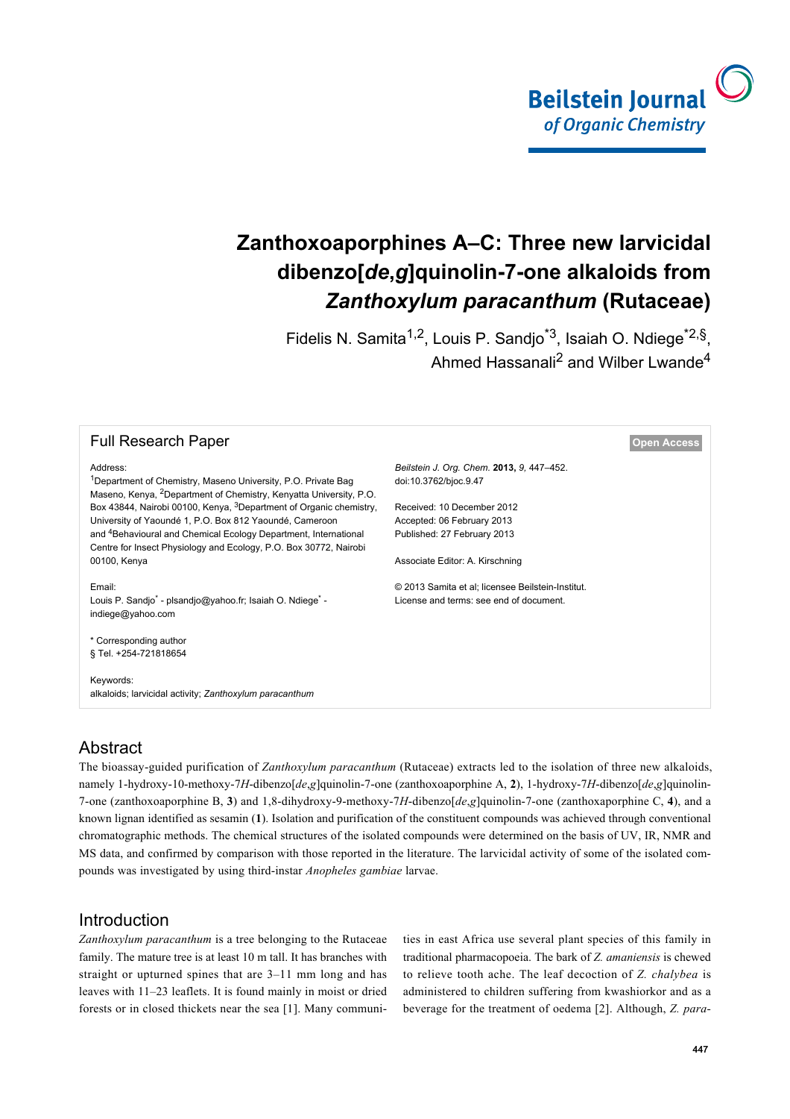

# **Zanthoxoaporphines A–C: Three new larvicidal dibenzo[***de***,***g***]quinolin-7-one alkaloids from** *Zanthoxylum paracanthum* **(Rutaceae)**

Fidelis N. Samita<sup>1,2</sup>, Louis P. Sandjo<sup>\*3</sup>, Isaiah O. Ndiege<sup>\*2,§</sup>, Ahmed Hassanali<sup>2</sup> and Wilber Lwande<sup>4</sup>

#### **Full Research Paper [Open Access](http://www.beilstein-journals.org/bjoc/about/openAccess.htm) Open Access**

#### Address:

<sup>1</sup>Department of Chemistry, Maseno University, P.O. Private Bag Maseno, Kenya, 2Department of Chemistry, Kenyatta University, P.O. Box 43844, Nairobi 00100, Kenya, <sup>3</sup>Department of Organic chemistry, University of Yaoundé 1, P.O. Box 812 Yaoundé, Cameroon and 4Behavioural and Chemical Ecology Department, International Centre for Insect Physiology and Ecology, P.O. Box 30772, Nairobi 00100, Kenya

Email: Louis P. Sandjo<sup>\*</sup> - [plsandjo@yahoo.fr;](mailto:plsandjo@yahoo.fr) Isaiah O. Ndiege<sup>\*</sup> [indiege@yahoo.com](mailto:indiege@yahoo.com)

\* Corresponding author § Tel. +254-721818654

Keywords: alkaloids; larvicidal activity; *Zanthoxylum paracanthum*

*Beilstein J. Org. Chem.* **2013,** *9,* 447–452. [doi:10.3762/bjoc.9.47](http://dx.doi.org/10.3762%2Fbjoc.9.47)

Received: 10 December 2012 Accepted: 06 February 2013 Published: 27 February 2013

Associate Editor: A. Kirschning

© 2013 Samita et al; licensee Beilstein-Institut. License and terms: see end of document.

# Abstract

The bioassay-guided purification of *Zanthoxylum paracanthum* (Rutaceae) extracts led to the isolation of three new alkaloids, namely 1-hydroxy-10-methoxy-7*H*-dibenzo[*de*,*g*]quinolin-7-one (zanthoxoaporphine A, **2**), 1-hydroxy-7*H*-dibenzo[*de*,*g*]quinolin-7-one (zanthoxoaporphine B, **3**) and 1,8-dihydroxy-9-methoxy-7*H*-dibenzo[*de*,*g*]quinolin-7-one (zanthoxaporphine C, **4**), and a known lignan identified as sesamin (**1**). Isolation and purification of the constituent compounds was achieved through conventional chromatographic methods. The chemical structures of the isolated compounds were determined on the basis of UV, IR, NMR and MS data, and confirmed by comparison with those reported in the literature. The larvicidal activity of some of the isolated compounds was investigated by using third-instar *Anopheles gambiae* larvae.

### Introduction

*Zanthoxylum paracanthum* is a tree belonging to the Rutaceae family. The mature tree is at least 10 m tall. It has branches with straight or upturned spines that are 3–11 mm long and has leaves with 11–23 leaflets. It is found mainly in moist or dried forests or in closed thickets near the sea [\[1\]](#page-4-0). Many communities in east Africa use several plant species of this family in traditional pharmacopoeia. The bark of *Z. amaniensis* is chewed to relieve tooth ache. The leaf decoction of *Z. chalybea* is administered to children suffering from kwashiorkor and as a beverage for the treatment of oedema [\[2\]](#page-4-1). Although, *Z. para-*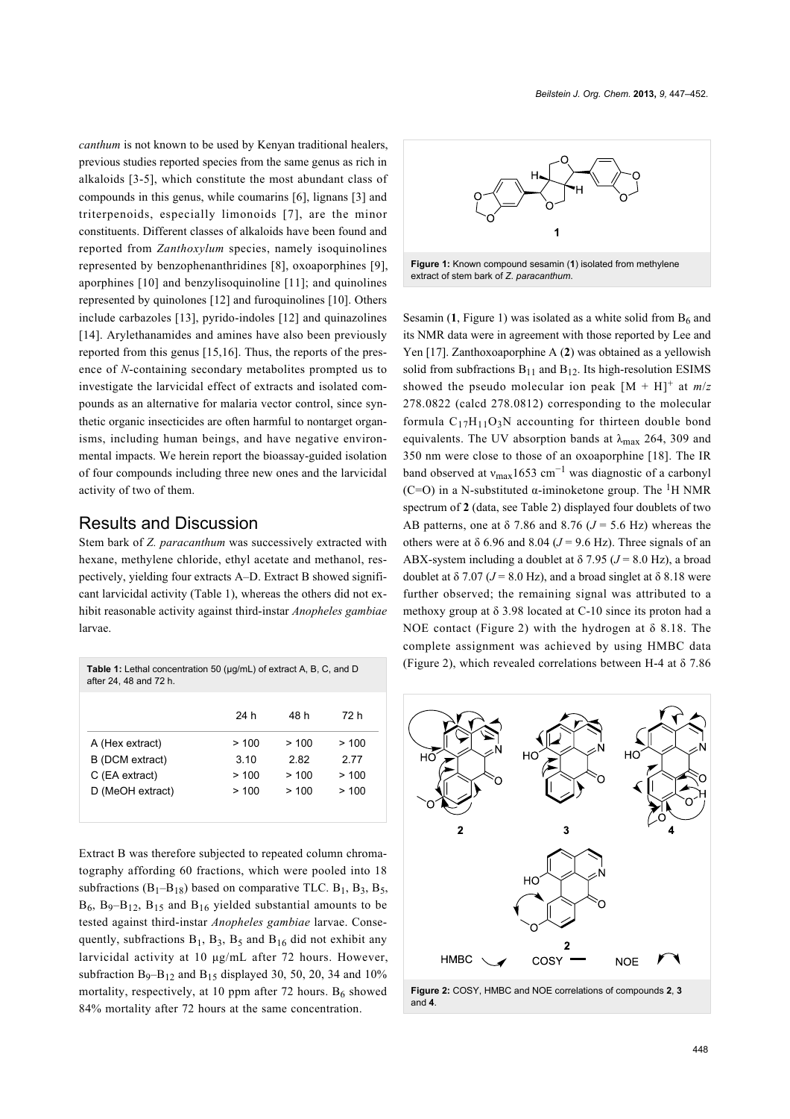*canthum* is not known to be used by Kenyan traditional healers, previous studies reported species from the same genus as rich in alkaloids [\[3-5\]](#page-4-2), which constitute the most abundant class of compounds in this genus, while coumarins [\[6\],](#page-4-3) lignans [\[3\]](#page-4-2) and triterpenoids, especially limonoids [\[7\]](#page-4-4), are the minor constituents. Different classes of alkaloids have been found and reported from *Zanthoxylum* species, namely isoquinolines represented by benzophenanthridines [\[8\]](#page-4-5), oxoaporphines [\[9\]](#page-4-6), aporphines [\[10\]](#page-4-7) and benzylisoquinoline [\[11\];](#page-4-8) and quinolines represented by quinolones [\[12\]](#page-4-9) and furoquinolines [\[10\]](#page-4-7). Others include carbazoles [\[13\]](#page-4-10), pyrido-indoles [\[12\]](#page-4-9) and quinazolines [\[14\]](#page-4-11). Arylethanamides and amines have also been previously reported from this genus [\[15,16\]](#page-4-12). Thus, the reports of the presence of *N*-containing secondary metabolites prompted us to investigate the larvicidal effect of extracts and isolated compounds as an alternative for malaria vector control, since synthetic organic insecticides are often harmful to nontarget organisms, including human beings, and have negative environmental impacts. We herein report the bioassay-guided isolation of four compounds including three new ones and the larvicidal activity of two of them.

### Results and Discussion

Stem bark of *Z. paracanthum* was successively extracted with hexane, methylene chloride, ethyl acetate and methanol, respectively, yielding four extracts A–D. Extract B showed significant larvicidal activity [\(Table 1\)](#page-1-0), whereas the others did not exhibit reasonable activity against third-instar *Anopheles gambiae* larvae.

<span id="page-1-0"></span>

| <b>Table 1:</b> Lethal concentration 50 (µg/mL) of extract A, B, C, and D<br>after 24, 48 and 72 h. |      |      |      |  |  |  |  |
|-----------------------------------------------------------------------------------------------------|------|------|------|--|--|--|--|
|                                                                                                     | 24 h | 48 h | 72 h |  |  |  |  |
| A (Hex extract)                                                                                     | >100 | >100 | >100 |  |  |  |  |
| B (DCM extract)                                                                                     | 310  | 282  | 2 77 |  |  |  |  |
| C (EA extract)                                                                                      | >100 | >100 | >100 |  |  |  |  |
| D (MeOH extract)                                                                                    | >100 | >100 | >100 |  |  |  |  |
|                                                                                                     |      |      |      |  |  |  |  |

Extract B was therefore subjected to repeated column chromatography affording 60 fractions, which were pooled into 18 subfractions  $(B_1 - B_1)$  based on comparative TLC.  $B_1$ ,  $B_3$ ,  $B_5$ ,  $B_6$ ,  $B_9 - B_{12}$ ,  $B_{15}$  and  $B_{16}$  yielded substantial amounts to be tested against third-instar *Anopheles gambiae* larvae. Consequently, subfractions  $B_1$ ,  $B_3$ ,  $B_5$  and  $B_{16}$  did not exhibit any larvicidal activity at 10 μg/mL after 72 hours. However, subfraction  $B_9 - B_{12}$  and  $B_{15}$  displayed 30, 50, 20, 34 and 10% mortality, respectively, at 10 ppm after 72 hours.  $B_6$  showed 84% mortality after 72 hours at the same concentration.

<span id="page-1-1"></span>

Sesamin  $(1,$  [Figure 1](#page-1-1)) was isolated as a white solid from  $B<sub>6</sub>$  and its NMR data were in agreement with those reported by Lee and Yen [\[17\].](#page-5-0) Zanthoxoaporphine A (**2**) was obtained as a yellowish solid from subfractions  $B_{11}$  and  $B_{12}$ . Its high-resolution ESIMS showed the pseudo molecular ion peak  $[M + H]$ <sup>+</sup> at  $m/z$ 278.0822 (calcd 278.0812) corresponding to the molecular formula  $C_{17}H_{11}O_3N$  accounting for thirteen double bond equivalents. The UV absorption bands at  $\lambda_{\text{max}}$  264, 309 and 350 nm were close to those of an oxoaporphine [\[18\].](#page-5-1) The IR band observed at  $v_{\text{max}}1653 \text{ cm}^{-1}$  was diagnostic of a carbonyl (C=O) in a N-substituted  $\alpha$ -iminoketone group. The <sup>1</sup>H NMR spectrum of **2** (data, see [Table 2\)](#page-2-0) displayed four doublets of two AB patterns, one at  $\delta$  7.86 and 8.76 ( $J = 5.6$  Hz) whereas the others were at  $\delta$  6.96 and 8.04 ( $J = 9.6$  Hz). Three signals of an ABX-system including a doublet at  $\delta$  7.95 ( $J = 8.0$  Hz), a broad doublet at  $\delta$  7.07 ( $J = 8.0$  Hz), and a broad singlet at  $\delta$  8.18 were further observed; the remaining signal was attributed to a methoxy group at  $\delta$  3.98 located at C-10 since its proton had a NOE contact ([Figure 2](#page-1-2)) with the hydrogen at  $\delta$  8.18. The complete assignment was achieved by using HMBC data ([Figure 2\)](#page-1-2), which revealed correlations between H-4 at  $\delta$  7.86

<span id="page-1-2"></span>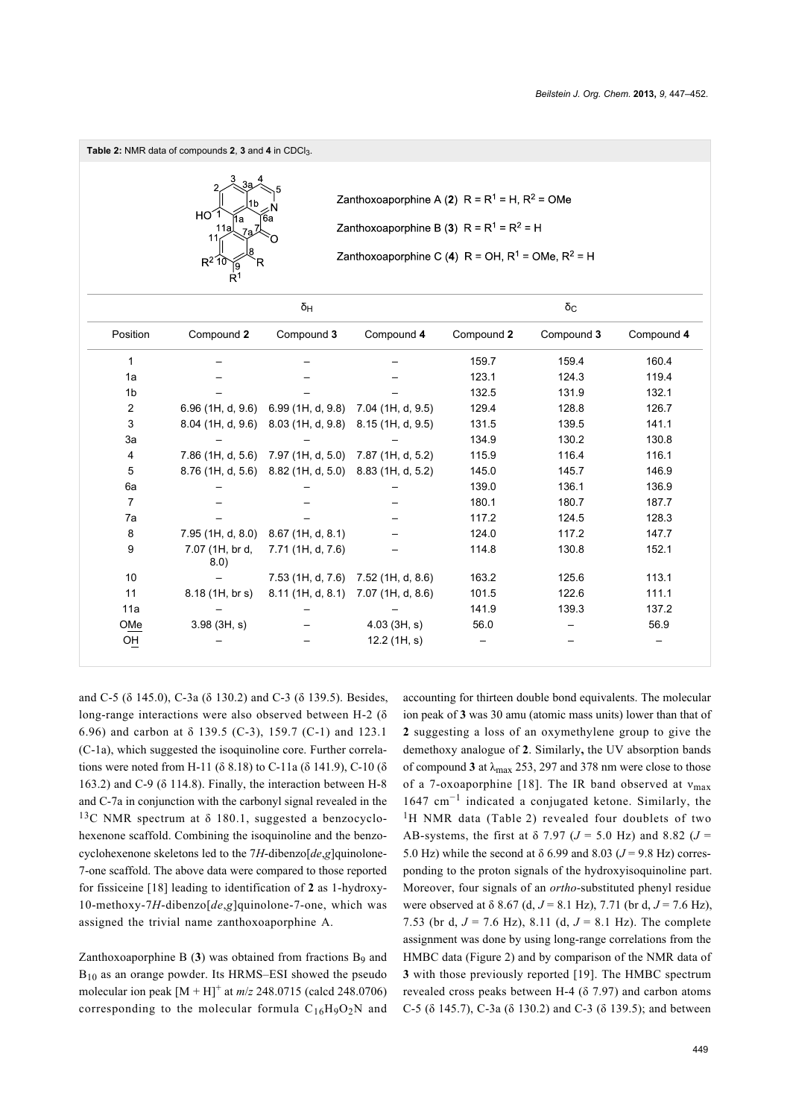<span id="page-2-0"></span>**Table 2:** NMR data of compounds **2**, **3** and **4** in CDCl3.



Zanthoxoaporphine A (2)  $R = R^1 = H$ ,  $R^2 = OMe$ Zanthoxoaporphine B (3)  $R = R^1 = R^2 = H$ 

Zanthoxoaporphine C (4) R = OH,  $R^1$  = OMe,  $R^2$  = H

| δ <sub>Η</sub> |                         |                                                       | $\delta_{\rm C}$  |            |            |            |
|----------------|-------------------------|-------------------------------------------------------|-------------------|------------|------------|------------|
| Position       | Compound 2              | Compound 3                                            | Compound 4        | Compound 2 | Compound 3 | Compound 4 |
| 1              |                         |                                                       |                   | 159.7      | 159.4      | 160.4      |
| 1a             |                         |                                                       |                   | 123.1      | 124.3      | 119.4      |
| 1 <sub>b</sub> |                         |                                                       |                   | 132.5      | 131.9      | 132.1      |
| $\overline{2}$ |                         | 6.96 (1H, d, 9.6) 6.99 (1H, d, 9.8) 7.04 (1H, d, 9.5) |                   | 129.4      | 128.8      | 126.7      |
| 3              |                         | 8.04 (1H, d, 9.6) 8.03 (1H, d, 9.8) 8.15 (1H, d, 9.5) |                   | 131.5      | 139.5      | 141.1      |
| 3a             |                         |                                                       |                   | 134.9      | 130.2      | 130.8      |
| 4              |                         | 7.86 (1H, d, 5.6) 7.97 (1H, d, 5.0) 7.87 (1H, d, 5.2) |                   | 115.9      | 116.4      | 116.1      |
| 5              |                         | 8.76 (1H, d, 5.6) 8.82 (1H, d, 5.0) 8.83 (1H, d, 5.2) |                   | 145.0      | 145.7      | 146.9      |
| 6a             |                         |                                                       |                   | 139.0      | 136.1      | 136.9      |
| 7              |                         |                                                       |                   | 180.1      | 180.7      | 187.7      |
| 7a             |                         |                                                       |                   | 117.2      | 124.5      | 128.3      |
| 8              | 7.95 (1H, d, 8.0)       | $8.67$ (1H, d, $8.1$ )                                |                   | 124.0      | 117.2      | 147.7      |
| 9              | 7.07 (1H, br d,<br>8.0) | 7.71 (1H, d, 7.6)                                     |                   | 114.8      | 130.8      | 152.1      |
| 10             |                         | 7.53 (1H, d, 7.6)                                     | 7.52 (1H, d, 8.6) | 163.2      | 125.6      | 113.1      |
| 11             | 8.18(1H, br s)          | 8.11(1H, d, 8.1)                                      | 7.07 (1H, d, 8.6) | 101.5      | 122.6      | 111.1      |
| 11a            |                         |                                                       |                   | 141.9      | 139.3      | 137.2      |
| OMe            | 3.98(3H, s)             |                                                       | $4.03$ (3H, s)    | 56.0       |            | 56.9       |
| OH             |                         |                                                       | 12.2 (1H, s)      |            |            |            |

and C-5 (δ 145.0), C-3a (δ 130.2) and C-3 (δ 139.5). Besides, long-range interactions were also observed between H-2 (δ 6.96) and carbon at δ 139.5 (C-3), 159.7 (C-1) and 123.1 (C-1a), which suggested the isoquinoline core. Further correlations were noted from H-11 (δ 8.18) to C-11a (δ 141.9), C-10 (δ 163.2) and C-9 ( $\delta$  114.8). Finally, the interaction between H-8 and C-7a in conjunction with the carbonyl signal revealed in the <sup>13</sup>C NMR spectrum at δ 180.1, suggested a benzocyclohexenone scaffold. Combining the isoquinoline and the benzocyclohexenone skeletons led to the 7*H*-dibenzo[*de*,*g*]quinolone-7-one scaffold. The above data were compared to those reported for fissiceine [\[18\]](#page-5-1) leading to identification of **2** as 1-hydroxy-10-methoxy-7*H*-dibenzo[*de*,*g*]quinolone-7-one, which was assigned the trivial name zanthoxoaporphine A.

Zanthoxoaporphine B (**3**) was obtained from fractions B<sup>9</sup> and  $B_{10}$  as an orange powder. Its HRMS–ESI showed the pseudo molecular ion peak  $[M + H]$ <sup>+</sup> at  $m/z$  248.0715 (calcd 248.0706) corresponding to the molecular formula  $C_{16}H_9O_2N$  and

accounting for thirteen double bond equivalents. The molecular ion peak of **3** was 30 amu (atomic mass units) lower than that of **2** suggesting a loss of an oxymethylene group to give the demethoxy analogue of **2**. Similarly**,** the UV absorption bands of compound **3** at  $\lambda_{\text{max}}$  253, 297 and 378 nm were close to those of a 7-oxoaporphine [\[18\]](#page-5-1). The IR band observed at  $v_{\text{max}}$ 1647 cm−<sup>1</sup> indicated a conjugated ketone. Similarly, the <sup>1</sup>H NMR data ([Table 2](#page-2-0)) revealed four doublets of two AB-systems, the first at  $\delta$  7.97 ( $J = 5.0$  Hz) and 8.82 ( $J =$ 5.0 Hz) while the second at  $\delta$  6.99 and 8.03 ( $J = 9.8$  Hz) corresponding to the proton signals of the hydroxyisoquinoline part. Moreover, four signals of an *ortho*-substituted phenyl residue were observed at  $\delta$  8.67 (d,  $J = 8.1$  Hz), 7.71 (br d,  $J = 7.6$  Hz), 7.53 (br d, *J* = 7.6 Hz), 8.11 (d, *J* = 8.1 Hz). The complete assignment was done by using long-range correlations from the HMBC data ([Figure 2\)](#page-1-2) and by comparison of the NMR data of **3** with those previously reported [\[19\]](#page-5-2). The HMBC spectrum revealed cross peaks between H-4  $(\delta$  7.97) and carbon atoms C-5 (δ 145.7), C-3a (δ 130.2) and C-3 (δ 139.5); and between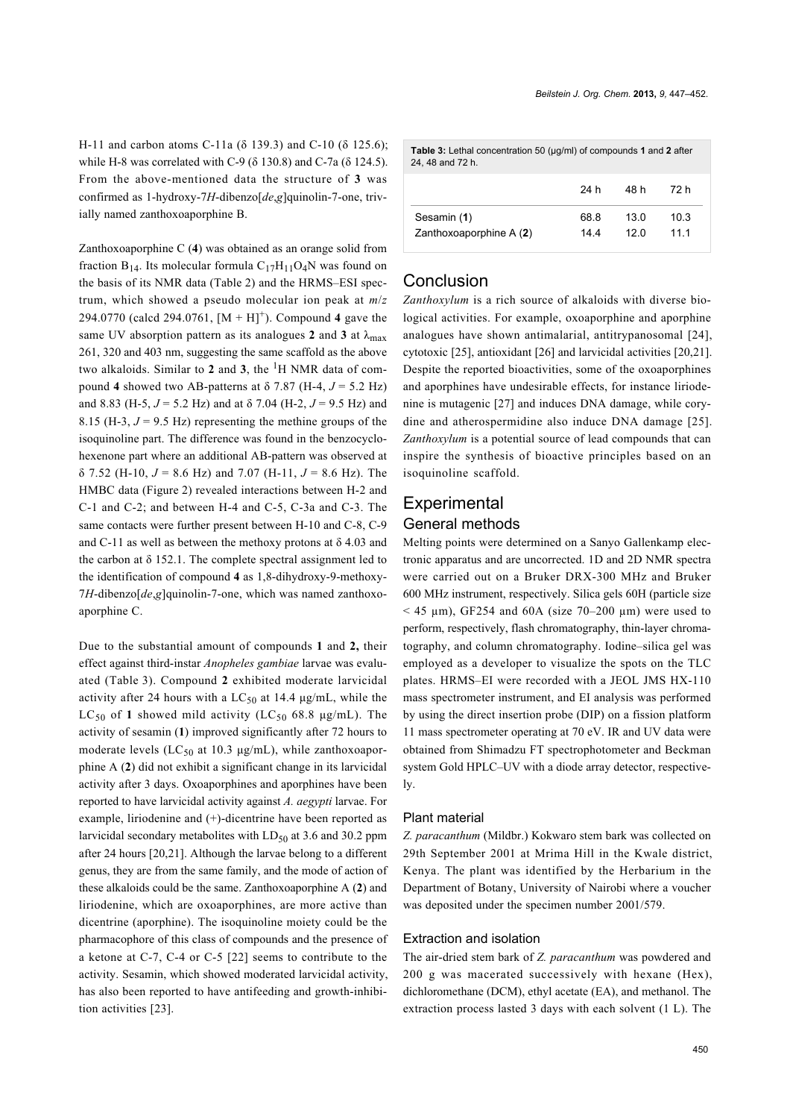H-11 and carbon atoms C-11a (δ 139.3) and C-10 (δ 125.6); while H-8 was correlated with C-9 (δ 130.8) and C-7a (δ 124.5). From the above-mentioned data the structure of **3** was confirmed as 1-hydroxy-7*H*-dibenzo[*de*,*g*]quinolin-7-one, trivially named zanthoxoaporphine B.

Zanthoxoaporphine C (**4**) was obtained as an orange solid from fraction  $B_{14}$ . Its molecular formula  $C_{17}H_{11}O_4N$  was found on the basis of its NMR data [\(Table 2](#page-2-0)) and the HRMS–ESI spectrum, which showed a pseudo molecular ion peak at *m*/*z* 294.0770 (calcd 294.0761,  $[M + H]$ <sup>+</sup>). Compound 4 gave the same UV absorption pattern as its analogues 2 and 3 at  $\lambda_{\text{max}}$ 261, 320 and 403 nm, suggesting the same scaffold as the above two alkaloids. Similar to **2** and **3**, the 1H NMR data of compound **4** showed two AB-patterns at  $\delta$  7.87 (H-4,  $J = 5.2$  Hz) and 8.83 (H-5,  $J = 5.2$  Hz) and at  $\delta$  7.04 (H-2,  $J = 9.5$  Hz) and 8.15 (H-3,  $J = 9.5$  Hz) representing the methine groups of the isoquinoline part. The difference was found in the benzocyclohexenone part where an additional AB-pattern was observed at  $\delta$  7.52 (H-10,  $J = 8.6$  Hz) and 7.07 (H-11,  $J = 8.6$  Hz). The HMBC data [\(Figure 2\)](#page-1-2) revealed interactions between H-2 and C-1 and C-2; and between H-4 and C-5, C-3a and C-3. The same contacts were further present between H-10 and C-8, C-9 and C-11 as well as between the methoxy protons at  $\delta$  4.03 and the carbon at  $\delta$  152.1. The complete spectral assignment led to the identification of compound **4** as 1,8-dihydroxy-9-methoxy-7*H*-dibenzo[*de*,*g*]quinolin-7-one, which was named zanthoxoaporphine C.

Due to the substantial amount of compounds **1** and **2,** their effect against third-instar *Anopheles gambiae* larvae was evaluated [\(Table 3\)](#page-3-0). Compound **2** exhibited moderate larvicidal activity after 24 hours with a  $LC_{50}$  at 14.4  $\mu$ g/mL, while the  $LC_{50}$  of 1 showed mild activity ( $LC_{50}$  68.8  $\mu$ g/mL). The activity of sesamin (**1**) improved significantly after 72 hours to moderate levels ( $LC_{50}$  at 10.3  $\mu$ g/mL), while zanthoxoaporphine A (**2**) did not exhibit a significant change in its larvicidal activity after 3 days. Oxoaporphines and aporphines have been reported to have larvicidal activity against *A. aegypti* larvae. For example, liriodenine and (+)-dicentrine have been reported as larvicidal secondary metabolites with  $LD_{50}$  at 3.6 and 30.2 ppm after 24 hours [\[20,21\].](#page-5-3) Although the larvae belong to a different genus, they are from the same family, and the mode of action of these alkaloids could be the same. Zanthoxoaporphine A (**2**) and liriodenine, which are oxoaporphines, are more active than dicentrine (aporphine). The isoquinoline moiety could be the pharmacophore of this class of compounds and the presence of a ketone at C-7, C-4 or C-5 [\[22\]](#page-5-4) seems to contribute to the activity. Sesamin, which showed moderated larvicidal activity, has also been reported to have antifeeding and growth-inhibition activities [\[23\].](#page-5-5)

<span id="page-3-0"></span>

| Table 3: Lethal concentration 50 (µg/ml) of compounds 1 and 2 after<br>24, 48 and 72 h. |      |      |      |  |  |  |  |
|-----------------------------------------------------------------------------------------|------|------|------|--|--|--|--|
|                                                                                         | 24 h | 48 h | 72 h |  |  |  |  |
| Sesamin (1)                                                                             | 68.8 | 13 0 | 10.3 |  |  |  |  |
| Zanthoxoaporphine A (2)                                                                 | 144  | 12 N | 11 1 |  |  |  |  |

### **Conclusion**

*Zanthoxylum* is a rich source of alkaloids with diverse biological activities. For example, oxoaporphine and aporphine analogues have shown antimalarial, antitrypanosomal [\[24\]](#page-5-6), cytotoxic [\[25\],](#page-5-7) antioxidant [\[26\]](#page-5-8) and larvicidal activities [\[20,21\]](#page-5-3). Despite the reported bioactivities, some of the oxoaporphines and aporphines have undesirable effects, for instance liriodenine is mutagenic [\[27\]](#page-5-9) and induces DNA damage, while corydine and atherospermidine also induce DNA damage [\[25\]](#page-5-7). *Zanthoxylum* is a potential source of lead compounds that can inspire the synthesis of bioactive principles based on an isoquinoline scaffold.

# **Experimental** General methods

Melting points were determined on a Sanyo Gallenkamp electronic apparatus and are uncorrected. 1D and 2D NMR spectra were carried out on a Bruker DRX-300 MHz and Bruker 600 MHz instrument, respectively. Silica gels 60H (particle size  $<$  45 µm), GF254 and 60A (size 70–200 µm) were used to perform, respectively, flash chromatography, thin-layer chromatography, and column chromatography. Iodine–silica gel was employed as a developer to visualize the spots on the TLC plates. HRMS–EI were recorded with a JEOL JMS HX-110 mass spectrometer instrument, and EI analysis was performed by using the direct insertion probe (DIP) on a fission platform 11 mass spectrometer operating at 70 eV. IR and UV data were obtained from Shimadzu FT spectrophotometer and Beckman system Gold HPLC–UV with a diode array detector, respectively.

#### Plant material

*Z. paracanthum* (Mildbr.) Kokwaro stem bark was collected on 29th September 2001 at Mrima Hill in the Kwale district, Kenya. The plant was identified by the Herbarium in the Department of Botany, University of Nairobi where a voucher was deposited under the specimen number 2001/579.

#### Extraction and isolation

The air-dried stem bark of *Z. paracanthum* was powdered and 200 g was macerated successively with hexane (Hex), dichloromethane (DCM), ethyl acetate (EA), and methanol. The extraction process lasted 3 days with each solvent (1 L). The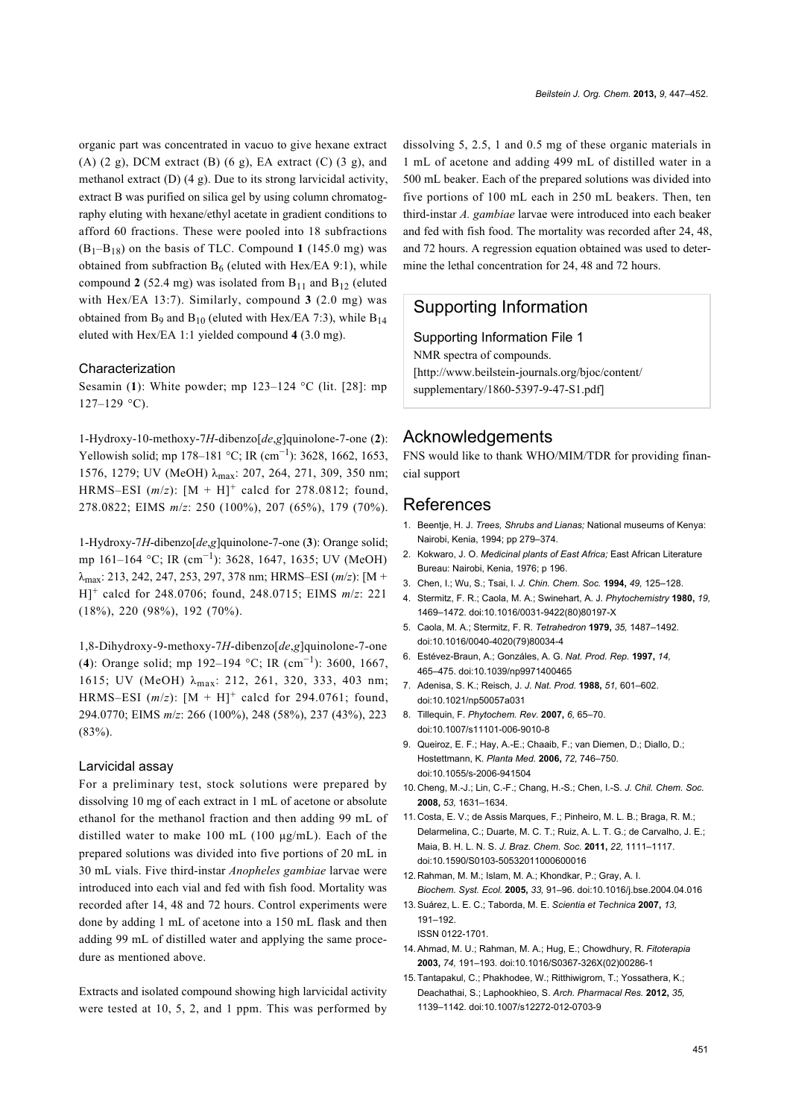organic part was concentrated in vacuo to give hexane extract  $(A)$  (2 g), DCM extract  $(B)$  (6 g), EA extract  $(C)$  (3 g), and methanol extract (D) (4 g). Due to its strong larvicidal activity, extract B was purified on silica gel by using column chromatography eluting with hexane/ethyl acetate in gradient conditions to afford 60 fractions. These were pooled into 18 subfractions  $(B_1-B_{18})$  on the basis of TLC. Compound 1 (145.0 mg) was obtained from subfraction  $B_6$  (eluted with Hex/EA 9:1), while compound **2** (52.4 mg) was isolated from  $B_{11}$  and  $B_{12}$  (eluted with Hex/EA 13:7). Similarly, compound **3** (2.0 mg) was obtained from B<sub>9</sub> and B<sub>10</sub> (eluted with Hex/EA 7:3), while B<sub>14</sub> eluted with Hex/EA 1:1 yielded compound **4** (3.0 mg).

#### Characterization

Sesamin (**1**): White powder; mp 123–124 °C (lit. [\[28\]](#page-5-10): mp  $127-129$  °C).

1-Hydroxy-10-methoxy-7*H*-dibenzo[*de*,*g*]quinolone-7-one (**2**): Yellowish solid; mp 178–181 °C; IR (cm<sup>-1</sup>): 3628, 1662, 1653, 1576, 1279; UV (MeOH) λmax: 207, 264, 271, 309, 350 nm; HRMS–ESI  $(m/z)$ :  $[M + H]^{+}$  calcd for 278.0812; found, 278.0822; EIMS *m*/*z*: 250 (100%), 207 (65%), 179 (70%).

1-Hydroxy-7*H*-dibenzo[*de*,*g*]quinolone-7-one (**3**): Orange solid; mp 161–164 °C; IR (cm−<sup>1</sup> ): 3628, 1647, 1635; UV (MeOH) λmax: 213, 242, 247, 253, 297, 378 nm; HRMS–ESI (*m*/*z*): [M + H]<sup>+</sup> calcd for 248.0706; found, 248.0715; EIMS *m*/*z*: 221 (18%), 220 (98%), 192 (70%).

1,8-Dihydroxy-9-methoxy-7*H*-dibenzo[*de*,*g*]quinolone-7-one (**4**): Orange solid; mp 192–194 °C; IR (cm−<sup>1</sup> ): 3600, 1667, 1615; UV (MeOH) λ<sub>max</sub>: 212, 261, 320, 333, 403 nm; HRMS–ESI  $(m/z)$ :  $[M + H]^{+}$  calcd for 294.0761; found, 294.0770; EIMS *m*/*z*: 266 (100%), 248 (58%), 237 (43%), 223  $(83\%)$ .

#### Larvicidal assay

For a preliminary test, stock solutions were prepared by dissolving 10 mg of each extract in 1 mL of acetone or absolute ethanol for the methanol fraction and then adding 99 mL of distilled water to make 100 mL (100 μg/mL). Each of the prepared solutions was divided into five portions of 20 mL in 30 mL vials. Five third-instar *Anopheles gambiae* larvae were introduced into each vial and fed with fish food. Mortality was recorded after 14, 48 and 72 hours. Control experiments were done by adding 1 mL of acetone into a 150 mL flask and then adding 99 mL of distilled water and applying the same procedure as mentioned above.

Extracts and isolated compound showing high larvicidal activity were tested at 10, 5, 2, and 1 ppm. This was performed by dissolving 5, 2.5, 1 and 0.5 mg of these organic materials in 1 mL of acetone and adding 499 mL of distilled water in a 500 mL beaker. Each of the prepared solutions was divided into five portions of 100 mL each in 250 mL beakers. Then, ten third-instar *A. gambiae* larvae were introduced into each beaker and fed with fish food. The mortality was recorded after 24, 48, and 72 hours. A regression equation obtained was used to determine the lethal concentration for 24, 48 and 72 hours.

# Supporting Information

#### Supporting Information File 1

NMR spectra of compounds. [\[http://www.beilstein-journals.org/bjoc/content/](http://www.beilstein-journals.org/bjoc/content/supplementary/1860-5397-9-47-S1.pdf)

[supplementary/1860-5397-9-47-S1.pdf\]](http://www.beilstein-journals.org/bjoc/content/supplementary/1860-5397-9-47-S1.pdf)

## Acknowledgements

FNS would like to thank WHO/MIM/TDR for providing financial support

### References

- <span id="page-4-0"></span>1. Beentje, H. J. *Trees, Shrubs and Lianas;* National museums of Kenya: Nairobi, Kenia, 1994; pp 279–374.
- <span id="page-4-1"></span>2. Kokwaro, J. O. *Medicinal plants of East Africa;* East African Literature Bureau: Nairobi, Kenia, 1976; p 196.
- <span id="page-4-2"></span>3. Chen, I.; Wu, S.; Tsai, I. *J. Chin. Chem. Soc.* **1994,** *49,* 125–128.
- 4. Stermitz, F. R.; Caola, M. A.; Swinehart, A. J. *Phytochemistry* **1980,** *19,* 1469–1472. [doi:10.1016/0031-9422\(80\)80197-X](http://dx.doi.org/10.1016%2F0031-9422%2880%2980197-X)
- 5. Caola, M. A.; Stermitz, F. R. *Tetrahedron* **1979,** *35,* 1487–1492. [doi:10.1016/0040-4020\(79\)80034-4](http://dx.doi.org/10.1016%2F0040-4020%2879%2980034-4)
- <span id="page-4-3"></span>6. Estévez-Braun, A.; Gonzáles, A. G. *Nat. Prod. Rep.* **1997,** *14,* 465–475. [doi:10.1039/np9971400465](http://dx.doi.org/10.1039%2Fnp9971400465)
- <span id="page-4-4"></span>7. Adenisa, S. K.; Reisch, J. *J. Nat. Prod.* **1988,** *51,* 601–602. [doi:10.1021/np50057a031](http://dx.doi.org/10.1021%2Fnp50057a031)
- <span id="page-4-5"></span>8. Tillequin, F. *Phytochem. Rev.* **2007,** *6,* 65–70. [doi:10.1007/s11101-006-9010-8](http://dx.doi.org/10.1007%2Fs11101-006-9010-8)
- <span id="page-4-6"></span>9. Queiroz, E. F.; Hay, A.-E.; Chaaib, F.; van Diemen, D.; Diallo, D.; Hostettmann, K. *Planta Med.* **2006,** *72,* 746–750. [doi:10.1055/s-2006-941504](http://dx.doi.org/10.1055%2Fs-2006-941504)
- <span id="page-4-7"></span>10. Cheng, M.-J.; Lin, C.-F.; Chang, H.-S.; Chen, I.-S. *J. Chil. Chem. Soc.* **2008,** *53,* 1631–1634.
- <span id="page-4-8"></span>11. Costa, E. V.; de Assis Marques, F.; Pinheiro, M. L. B.; Braga, R. M.; Delarmelina, C.; Duarte, M. C. T.; Ruiz, A. L. T. G.; de Carvalho, J. E.; Maia, B. H. L. N. S. *J. Braz. Chem. Soc.* **2011,** *22,* 1111–1117. [doi:10.1590/S0103-50532011000600016](http://dx.doi.org/10.1590%2FS0103-50532011000600016)
- <span id="page-4-9"></span>12. Rahman, M. M.; Islam, M. A.; Khondkar, P.; Gray, A. I. *Biochem. Syst. Ecol.* **2005,** *33,* 91–96. [doi:10.1016/j.bse.2004.04.016](http://dx.doi.org/10.1016%2Fj.bse.2004.04.016)
- <span id="page-4-10"></span>13.Suárez, L. E. C.; Taborda, M. E. *Scientia et Technica* **2007,** *13,* 191–192. ISSN 0122-1701.
- <span id="page-4-11"></span>14.Ahmad, M. U.; Rahman, M. A.; Hug, E.; Chowdhury, R. *Fitoterapia* **2003,** *74,* 191–193. [doi:10.1016/S0367-326X\(02\)00286-1](http://dx.doi.org/10.1016%2FS0367-326X%2802%2900286-1)
- <span id="page-4-12"></span>15.Tantapakul, C.; Phakhodee, W.; Ritthiwigrom, T.; Yossathera, K.; Deachathai, S.; Laphookhieo, S. *Arch. Pharmacal Res.* **2012,** *35,* 1139–1142. [doi:10.1007/s12272-012-0703-9](http://dx.doi.org/10.1007%2Fs12272-012-0703-9)